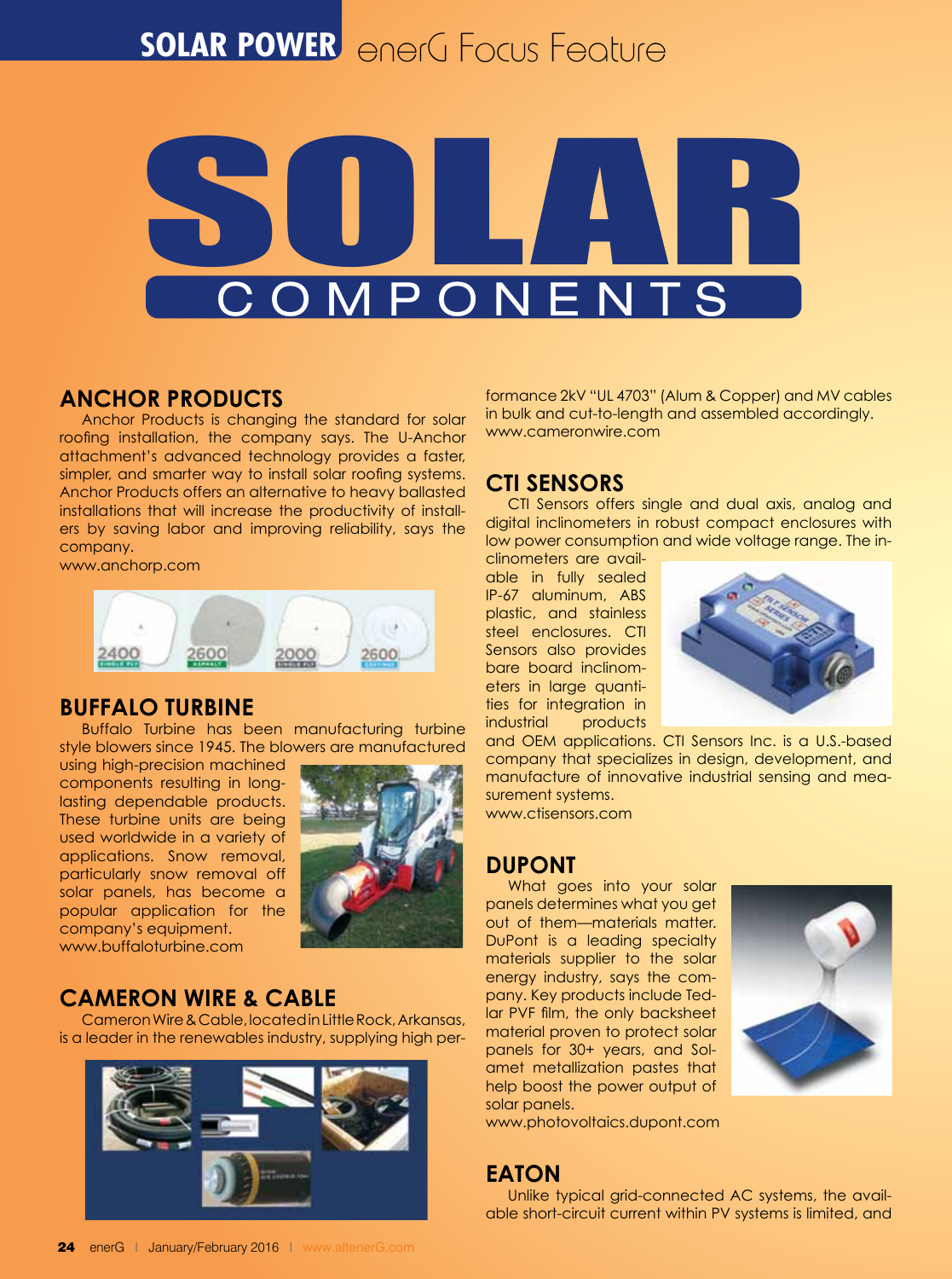# **SOLAR POWER** enerG Focus Feature



## **Anchor Products**

Anchor Products is changing the standard for solar roofing installation, the company says. The U-Anchor attachment's advanced technology provides a faster, simpler, and smarter way to install solar roofing systems. Anchor Products offers an alternative to heavy ballasted installations that will increase the productivity of installers by saving labor and improving reliability, says the company.

www.anchorp.com



#### **Buffalo Turbine**

Buffalo Turbine has been manufacturing turbine style blowers since 1945. The blowers are manufactured

using high-precision machined components resulting in longlasting dependable products. These turbine units are being used worldwide in a variety of applications. Snow removal, particularly snow removal off solar panels, has become a popular application for the company's equipment. www.buffaloturbine.com



# **Cameron Wire & Cable**

Cameron Wire & Cable, located in Little Rock, Arkansas, is a leader in the renewables industry, supplying high per-



formance 2kV "UL 4703" (Alum & Copper) and MV cables in bulk and cut-to-length and assembled accordingly. www.cameronwire.com

## **CTI Sensors**

CTI Sensors offers single and dual axis, analog and digital inclinometers in robust compact enclosures with low power consumption and wide voltage range. The in-

clinometers are available in fully sealed IP-67 aluminum, ABS plastic, and stainless steel enclosures. CTI Sensors also provides bare board inclinometers in large quantities for integration in industrial products



and OEM applications. CTI Sensors Inc. is a U.S.-based company that specializes in design, development, and manufacture of innovative industrial sensing and measurement systems. www.ctisensors.com

## **DuPont**

What goes into your solar panels determines what you get out of them—materials matter. DuPont is a leading specialty materials supplier to the solar energy industry, says the company. Key products include Tedlar PVF film, the only backsheet material proven to protect solar panels for 30+ years, and Solamet metallization pastes that help boost the power output of solar panels.



www.photovoltaics.dupont.com

## **Eaton**

Unlike typical grid-connected AC systems, the available short-circuit current within PV systems is limited, and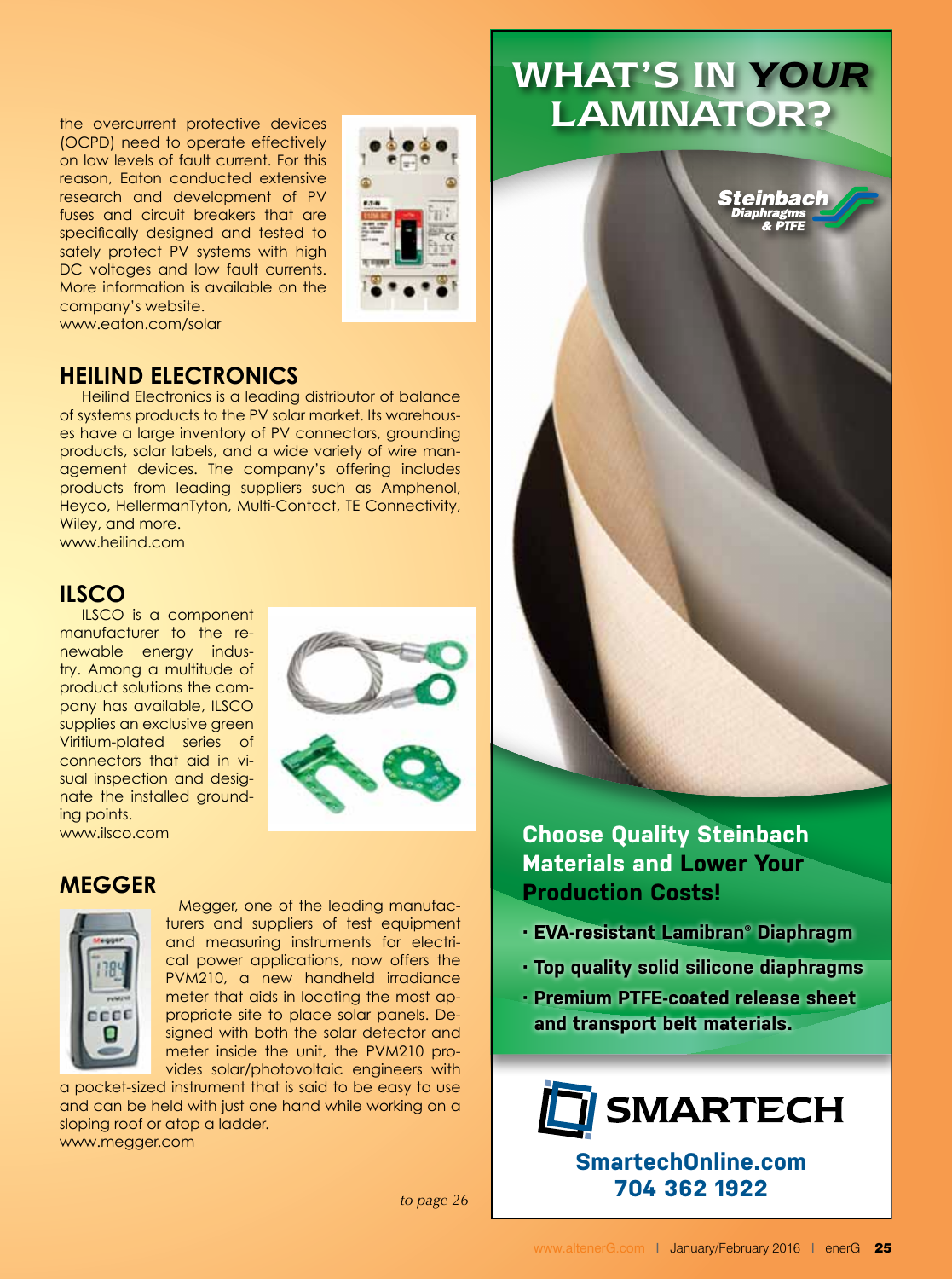the overcurrent protective devices (OCPD) need to operate effectively on low levels of fault current. For this reason, Eaton conducted extensive research and development of PV fuses and circuit breakers that are specifically designed and tested to safely protect PV systems with high DC voltages and low fault currents. More information is available on the company's website. www.eaton.com/solar



#### **Heilind Electronics**

Heilind Electronics is a leading distributor of balance of systems products to the PV solar market. Its warehouses have a large inventory of PV connectors, grounding products, solar labels, and a wide variety of wire management devices. The company's offering includes products from leading suppliers such as Amphenol, Heyco, HellermanTyton, Multi-Contact, TE Connectivity, Wiley, and more.

www.heilind.com

## **ILSCO**

ILSCO is a component manufacturer to the renewable energy industry. Among a multitude of product solutions the company has available, ILSCO supplies an exclusive green Viritium-plated series of connectors that aid in visual inspection and designate the installed grounding points. www.ilsco.com



#### **Megger**



Megger, one of the leading manufacturers and suppliers of test equipment and measuring instruments for electrical power applications, now offers the PVM210, a new handheld irradiance meter that aids in locating the most appropriate site to place solar panels. Designed with both the solar detector and meter inside the unit, the PVM210 provides solar/photovoltaic engineers with

a pocket-sized instrument that is said to be easy to use and can be held with just one hand while working on a sloping roof or atop a ladder. www.megger.com

What's in *YOUR* LAMINATOR?



**Choose Quality Steinbach Materials and Lower Your Production Costs!**

- **· EVA-resistant Lamibran® Diaphragm**
- **· Top quality solid silicone diaphragms**
- **· Premium PTFE-coated release sheet and transport belt materials.**



**SmartechOnline.com 704 362 1922**

*to page 26*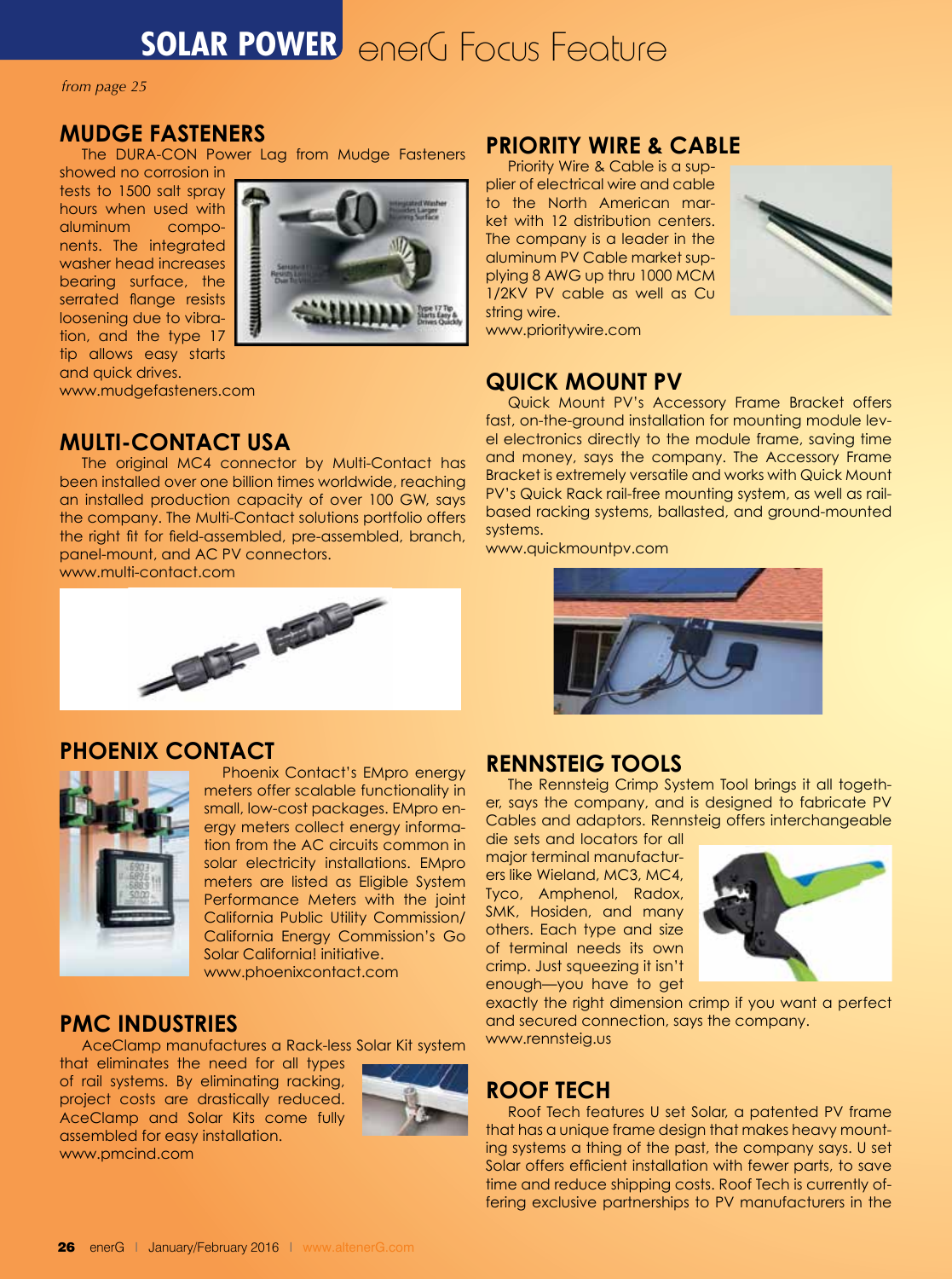# **SOLAR POWER** enerG Focus Feature

*from page 25*

## **Mudge Fasteners**

The DURA-CON Power Lag from Mudge Fasteners

showed no corrosion in tests to 1500 salt spray hours when used with aluminum components. The integrated washer head increases bearing surface, the serrated flange resists loosening due to vibration, and the type 17 tip allows easy starts and quick drives.

www.mudgefasteners.com

## **Multi-Contact USA**

The original MC4 connector by Multi-Contact has been installed over one billion times worldwide, reaching an installed production capacity of over 100 GW, says the company. The Multi-Contact solutions portfolio offers the right fit for field-assembled, pre-assembled, branch, panel-mount, and AC PV connectors.

www.multi-contact.com



## **Phoenix Contact**



 Phoenix Contact's EMpro energy meters offer scalable functionality in small, low-cost packages. EMpro energy meters collect energy information from the AC circuits common in solar electricity installations. EMpro meters are listed as Eligible System Performance Meters with the joint California Public Utility Commission/ California Energy Commission's Go Solar California! initiative. www.phoenixcontact.com

## **PMC Industries**

AceClamp manufactures a Rack-less Solar Kit system

that eliminates the need for all types of rail systems. By eliminating racking, project costs are drastically reduced. AceClamp and Solar Kits come fully assembled for easy installation. www.pmcind.com



## **Priority Wire & Cable**

Priority Wire & Cable is a supplier of electrical wire and cable to the North American market with 12 distribution centers. The company is a leader in the aluminum PV Cable market supplying 8 AWG up thru 1000 MCM 1/2KV PV cable as well as Cu string wire.



www.prioritywire.com

## **Quick Mount PV**

Quick Mount PV's Accessory Frame Bracket offers fast, on-the-ground installation for mounting module level electronics directly to the module frame, saving time and money, says the company. The Accessory Frame Bracket is extremely versatile and works with Quick Mount PV's Quick Rack rail-free mounting system, as well as railbased racking systems, ballasted, and ground-mounted systems.

www.quickmountpv.com



#### **Rennsteig Tools**

The Rennsteig Crimp System Tool brings it all together, says the company, and is designed to fabricate PV Cables and adaptors. Rennsteig offers interchangeable

die sets and locators for all major terminal manufacturers like Wieland, MC3, MC4, Tyco, Amphenol, Radox, SMK, Hosiden, and many others. Each type and size of terminal needs its own crimp. Just squeezing it isn't enough—you have to get



exactly the right dimension crimp if you want a perfect and secured connection, says the company. www.rennsteig.us

# **Roof Tech**

Roof Tech features U set Solar, a patented PV frame that has a unique frame design that makes heavy mounting systems a thing of the past, the company says. U set Solar offers efficient installation with fewer parts, to save time and reduce shipping costs. Roof Tech is currently offering exclusive partnerships to PV manufacturers in the